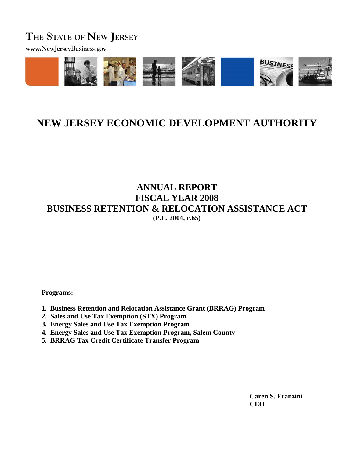# THE STATE OF NEW JERSEY

www.NewJerseyBusiness.gov



# **NEW JERSEY ECONOMIC DEVELOPMENT AUTHORITY**

# **ANNUAL REPORT FISCAL YEAR 2008 BUSINESS RETENTION & RELOCATION ASSISTANCE ACT (P.L. 2004, c.65)**

#### **Programs:**

- **1. Business Retention and Relocation Assistance Grant (BRRAG) Program**
- **2. Sales and Use Tax Exemption (STX) Program**
- **3. Energy Sales and Use Tax Exemption Program**
- **4. Energy Sales and Use Tax Exemption Program, Salem County**
- **5. BRRAG Tax Credit Certificate Transfer Program**

 **Caren S. Franzini CEO**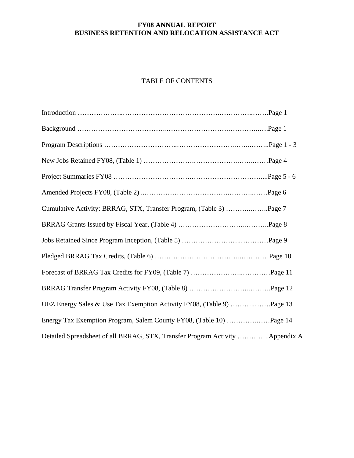# TABLE OF CONTENTS

| Cumulative Activity: BRRAG, STX, Transfer Program, (Table 3) Page 7           |
|-------------------------------------------------------------------------------|
|                                                                               |
|                                                                               |
|                                                                               |
|                                                                               |
|                                                                               |
| UEZ Energy Sales & Use Tax Exemption Activity FY08, (Table 9) Page 13         |
| Energy Tax Exemption Program, Salem County FY08, (Table 10) Page 14           |
| Detailed Spreadsheet of all BRRAG, STX, Transfer Program Activity  Appendix A |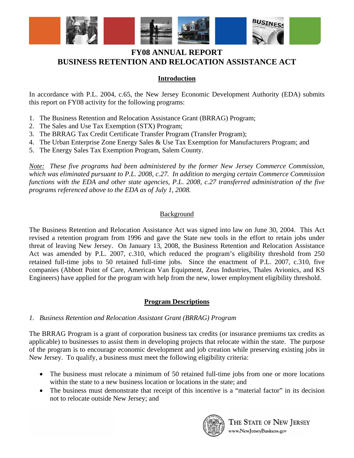

### **Introduction**

In accordance with P.L. 2004, c.65, the New Jersey Economic Development Authority (EDA) submits this report on FY08 activity for the following programs:

- 1. The Business Retention and Relocation Assistance Grant (BRRAG) Program;
- 2. The Sales and Use Tax Exemption (STX) Program;
- 3. The BRRAG Tax Credit Certificate Transfer Program (Transfer Program);
- 4. The Urban Enterprise Zone Energy Sales & Use Tax Exemption for Manufacturers Program; and
- 5. The Energy Sales Tax Exemption Program, Salem County.

*Note: These five programs had been administered by the former New Jersey Commerce Commission, which was eliminated pursuant to P.L. 2008, c.27. In addition to merging certain Commerce Commission functions with the EDA and other state agencies, P.L. 2008, c.27 transferred administration of the five programs referenced above to the EDA as of July 1, 2008.* 

### **Background**

The Business Retention and Relocation Assistance Act was signed into law on June 30, 2004. This Act revised a retention program from 1996 and gave the State new tools in the effort to retain jobs under threat of leaving New Jersey. On January 13, 2008, the Business Retention and Relocation Assistance Act was amended by P.L. 2007, c.310, which reduced the program's eligibility threshold from 250 retained full-time jobs to 50 retained full-time jobs. Since the enactment of P.L. 2007, c.310, five companies (Abbott Point of Care, American Van Equipment, Zeus Industries, Thales Avionics, and KS Engineers) have applied for the program with help from the new, lower employment eligibility threshold.

#### **Program Descriptions**

#### *1. Business Retention and Relocation Assistant Grant (BRRAG) Program*

The BRRAG Program is a grant of corporation business tax credits (or insurance premiums tax credits as applicable) to businesses to assist them in developing projects that relocate within the state. The purpose of the program is to encourage economic development and job creation while preserving existing jobs in New Jersey. To qualify, a business must meet the following eligibility criteria:

- The business must relocate a minimum of 50 retained full-time jobs from one or more locations within the state to a new business location or locations in the state; and
- The business must demonstrate that receipt of this incentive is a "material factor" in its decision not to relocate outside New Jersey; and

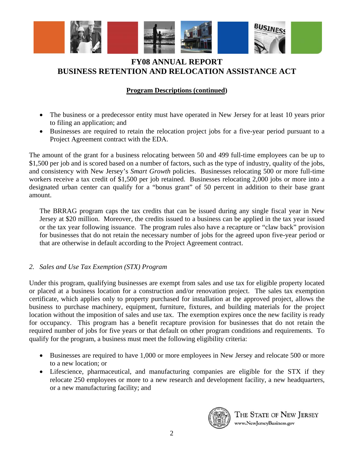

### **Program Descriptions (continued)**

- The business or a predecessor entity must have operated in New Jersey for at least 10 years prior to filing an application; and
- Businesses are required to retain the relocation project jobs for a five-year period pursuant to a Project Agreement contract with the EDA.

The amount of the grant for a business relocating between 50 and 499 full-time employees can be up to \$1,500 per job and is scored based on a number of factors, such as the type of industry, quality of the jobs, and consistency with New Jersey's *Smart Growth* policies. Businesses relocating 500 or more full-time workers receive a tax credit of \$1,500 per job retained. Businesses relocating 2,000 jobs or more into a designated urban center can qualify for a "bonus grant" of 50 percent in addition to their base grant amount.

The BRRAG program caps the tax credits that can be issued during any single fiscal year in New Jersey at \$20 million. Moreover, the credits issued to a business can be applied in the tax year issued or the tax year following issuance. The program rules also have a recapture or "claw back" provision for businesses that do not retain the necessary number of jobs for the agreed upon five-year period or that are otherwise in default according to the Project Agreement contract.

#### *2. Sales and Use Tax Exemption (STX) Program*

Under this program, qualifying businesses are exempt from sales and use tax for eligible property located or placed at a business location for a construction and/or renovation project. The sales tax exemption certificate, which applies only to property purchased for installation at the approved project, allows the business to purchase machinery, equipment, furniture, fixtures, and building materials for the project location without the imposition of sales and use tax. The exemption expires once the new facility is ready for occupancy. This program has a benefit recapture provision for businesses that do not retain the required number of jobs for five years or that default on other program conditions and requirements. To qualify for the program, a business must meet the following eligibility criteria:

- Businesses are required to have 1,000 or more employees in New Jersey and relocate 500 or more to a new location; or
- Lifescience, pharmaceutical, and manufacturing companies are eligible for the STX if they relocate 250 employees or more to a new research and development facility, a new headquarters, or a new manufacturing facility; and

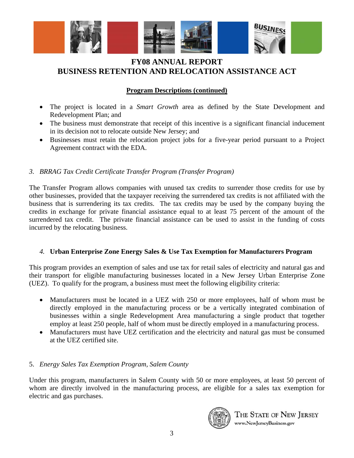

### **Program Descriptions (continued)**

- The project is located in a *Smart Growth* area as defined by the State Development and Redevelopment Plan; and
- The business must demonstrate that receipt of this incentive is a significant financial inducement in its decision not to relocate outside New Jersey; and
- Businesses must retain the relocation project jobs for a five-year period pursuant to a Project Agreement contract with the EDA.

### *3. BRRAG Tax Credit Certificate Transfer Program (Transfer Program)*

The Transfer Program allows companies with unused tax credits to surrender those credits for use by other businesses, provided that the taxpayer receiving the surrendered tax credits is not affiliated with the business that is surrendering its tax credits. The tax credits may be used by the company buying the credits in exchange for private financial assistance equal to at least 75 percent of the amount of the surrendered tax credit. The private financial assistance can be used to assist in the funding of costs incurred by the relocating business.

### *4.* **Urban Enterprise Zone Energy Sales & Use Tax Exemption for Manufacturers Program**

This program provides an exemption of sales and use tax for retail sales of electricity and natural gas and their transport for eligible manufacturing businesses located in a New Jersey Urban Enterprise Zone (UEZ). To qualify for the program, a business must meet the following eligibility criteria:

- Manufacturers must be located in a UEZ with 250 or more employees, half of whom must be directly employed in the manufacturing process or be a vertically integrated combination of businesses within a single Redevelopment Area manufacturing a single product that together employ at least 250 people, half of whom must be directly employed in a manufacturing process.
- Manufacturers must have UEZ certification and the electricity and natural gas must be consumed at the UEZ certified site.

### 5. *Energy Sales Tax Exemption Program, Salem County*

Under this program, manufacturers in Salem County with 50 or more employees, at least 50 percent of whom are directly involved in the manufacturing process, are eligible for a sales tax exemption for electric and gas purchases.

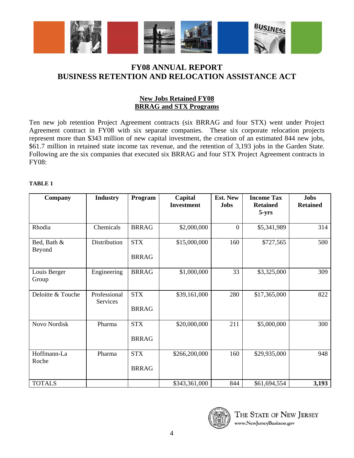

### **New Jobs Retained FY08 BRRAG and STX Programs**

Ten new job retention Project Agreement contracts (six BRRAG and four STX) went under Project Agreement contract in FY08 with six separate companies. These six corporate relocation projects represent more than \$343 million of new capital investment, the creation of an estimated 844 new jobs, \$61.7 million in retained state income tax revenue, and the retention of 3,193 jobs in the Garden State. Following are the six companies that executed six BRRAG and four STX Project Agreement contracts in FY08:

| Company               | <b>Industry</b>          | Program                    | Capital<br><b>Investment</b> | <b>Est. New</b><br><b>Jobs</b> | <b>Income Tax</b><br><b>Retained</b><br>$5 - yrs$ | <b>Jobs</b><br><b>Retained</b> |
|-----------------------|--------------------------|----------------------------|------------------------------|--------------------------------|---------------------------------------------------|--------------------------------|
| Rhodia                | Chemicals                | <b>BRRAG</b>               | \$2,000,000                  | $\boldsymbol{0}$               | \$5,341,989                                       | 314                            |
| Bed, Bath &<br>Beyond | Distribution             | <b>STX</b><br><b>BRRAG</b> | \$15,000,000                 | 160                            | \$727,565                                         | 500                            |
| Louis Berger<br>Group | Engineering              | <b>BRRAG</b>               | \$1,000,000                  | 33                             | \$3,325,000                                       | 309                            |
| Deloitte & Touche     | Professional<br>Services | <b>STX</b><br><b>BRRAG</b> | \$39,161,000                 | 280                            | \$17,365,000                                      | 822                            |
| Novo Nordisk          | Pharma                   | <b>STX</b><br><b>BRRAG</b> | \$20,000,000                 | 211                            | \$5,000,000                                       | 300                            |
| Hoffmann-La<br>Roche  | Pharma                   | <b>STX</b><br><b>BRRAG</b> | \$266,200,000                | 160                            | \$29,935,000                                      | 948                            |
| <b>TOTALS</b>         |                          |                            | \$343,361,000                | 844                            | \$61,694,554                                      | 3,193                          |

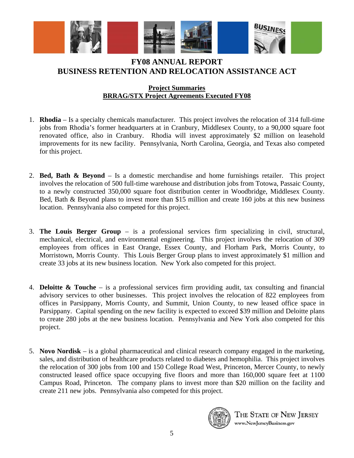

### **Project Summaries BRRAG/STX Project Agreements Executed FY08**

- 1. **Rhodia** Is a specialty chemicals manufacturer. This project involves the relocation of 314 full-time jobs from Rhodia's former headquarters at in Cranbury, Middlesex County, to a 90,000 square foot renovated office, also in Cranbury. Rhodia will invest approximately \$2 million on leasehold improvements for its new facility. Pennsylvania, North Carolina, Georgia, and Texas also competed for this project.
- 2. **Bed, Bath & Beyond** Is a domestic merchandise and home furnishings retailer. This project involves the relocation of 500 full-time warehouse and distribution jobs from Totowa, Passaic County, to a newly constructed 350,000 square foot distribution center in Woodbridge, Middlesex County. Bed, Bath & Beyond plans to invest more than \$15 million and create 160 jobs at this new business location. Pennsylvania also competed for this project.
- 3. **The Louis Berger Group** is a professional services firm specializing in civil, structural, mechanical, electrical, and environmental engineering. This project involves the relocation of 309 employees from offices in East Orange, Essex County, and Florham Park, Morris County, to Morristown, Morris County. This Louis Berger Group plans to invest approximately \$1 million and create 33 jobs at its new business location. New York also competed for this project.
- 4. **Deloitte & Touche** is a professional services firm providing audit, tax consulting and financial advisory services to other businesses. This project involves the relocation of 822 employees from offices in Parsippany, Morris County, and Summit, Union County, to new leased office space in Parsippany. Capital spending on the new facility is expected to exceed \$39 million and Deloitte plans to create 280 jobs at the new business location. Pennsylvania and New York also competed for this project.
- 5. **Novo Nordisk** is a global pharmaceutical and clinical research company engaged in the marketing, sales, and distribution of healthcare products related to diabetes and hemophilia. This project involves the relocation of 300 jobs from 100 and 150 College Road West, Princeton, Mercer County, to newly constructed leased office space occupying five floors and more than 160,000 square feet at 1100 Campus Road, Princeton. The company plans to invest more than \$20 million on the facility and create 211 new jobs. Pennsylvania also competed for this project.

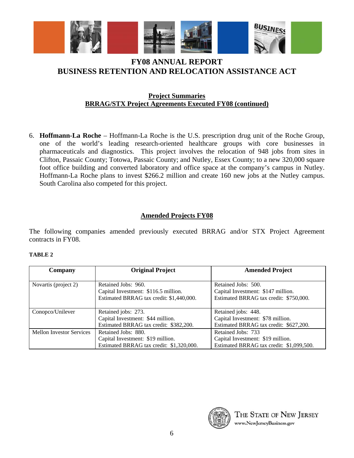

### **Project Summaries BRRAG/STX Project Agreements Executed FY08 (continued)**

6. **Hoffmann-La Roche** – Hoffmann-La Roche is the U.S. prescription drug unit of the Roche Group, one of the world's leading research-oriented healthcare groups with core businesses in pharmaceuticals and diagnostics. This project involves the relocation of 948 jobs from sites in Clifton, Passaic County; Totowa, Passaic County; and Nutley, Essex County; to a new 320,000 square foot office building and converted laboratory and office space at the company's campus in Nutley. Hoffmann-La Roche plans to invest \$266.2 million and create 160 new jobs at the Nutley campus. South Carolina also competed for this project.

### **Amended Projects FY08**

The following companies amended previously executed BRRAG and/or STX Project Agreement contracts in FY08.

| Company                         | <b>Original Project</b>                  | <b>Amended Project</b>                   |
|---------------------------------|------------------------------------------|------------------------------------------|
|                                 |                                          |                                          |
| Novartis (project 2)            | Retained Jobs: 960.                      | Retained Jobs: 500.                      |
|                                 | Capital Investment: \$116.5 million.     | Capital Investment: \$147 million.       |
|                                 | Estimated BRRAG tax credit: \$1,440,000. | Estimated BRRAG tax credit: \$750,000.   |
|                                 |                                          |                                          |
| Conopco/Unilever                | Retained jobs: 273.                      | Retained jobs: 448.                      |
|                                 | Capital Investment: \$44 million.        | Capital Investment: \$78 million.        |
|                                 | Estimated BRRAG tax credit: \$382,200.   | Estimated BRRAG tax credit: \$627,200.   |
| <b>Mellon Investor Services</b> | Retained Jobs: 880.                      | Retained Jobs: 733                       |
|                                 | Capital Investment: \$19 million.        | Capital Investment: \$19 million.        |
|                                 | Estimated BRRAG tax credit: \$1,320,000. | Estimated BRRAG tax credit: \$1,099,500. |

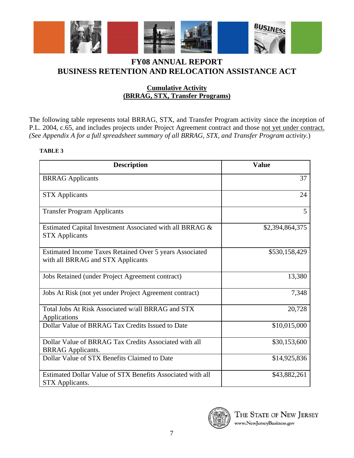

### **Cumulative Activity (BRRAG, STX, Transfer Programs)**

The following table represents total BRRAG, STX, and Transfer Program activity since the inception of P.L. 2004, c.65, and includes projects under Project Agreement contract and those not yet under contract. *(See Appendix A for a full spreadsheet summary of all BRRAG, STX, and Transfer Program activity.*)

| <b>Description</b>                                                                           | <b>Value</b>    |
|----------------------------------------------------------------------------------------------|-----------------|
| <b>BRRAG</b> Applicants                                                                      | 37              |
| <b>STX</b> Applicants                                                                        | 24              |
| <b>Transfer Program Applicants</b>                                                           | 5               |
| Estimated Capital Investment Associated with all BRRAG &<br><b>STX Applicants</b>            | \$2,394,864,375 |
| Estimated Income Taxes Retained Over 5 years Associated<br>with all BRRAG and STX Applicants | \$530,158,429   |
| Jobs Retained (under Project Agreement contract)                                             | 13,380          |
| Jobs At Risk (not yet under Project Agreement contract)                                      | 7,348           |
| Total Jobs At Risk Associated w/all BRRAG and STX<br>Applications                            | 20,728          |
| Dollar Value of BRRAG Tax Credits Issued to Date                                             | \$10,015,000    |
| Dollar Value of BRRAG Tax Credits Associated with all<br><b>BRRAG</b> Applicants.            | \$30,153,600    |
| Dollar Value of STX Benefits Claimed to Date                                                 | \$14,925,836    |
| Estimated Dollar Value of STX Benefits Associated with all<br>STX Applicants.                | \$43,882,261    |

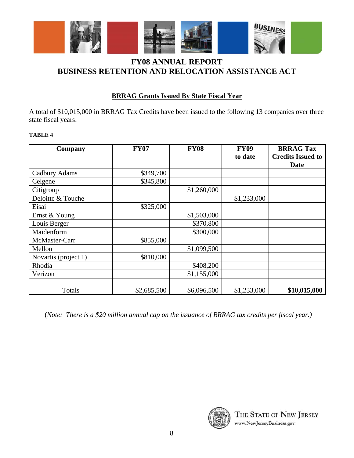

# **BRRAG Grants Issued By State Fiscal Year**

A total of \$10,015,000 in BRRAG Tax Credits have been issued to the following 13 companies over three state fiscal years:

#### **TABLE 4**

| Company              | <b>FY07</b> | <b>FY08</b> | <b>FY09</b><br>to date | <b>BRRAG Tax</b><br><b>Credits Issued to</b><br>Date |
|----------------------|-------------|-------------|------------------------|------------------------------------------------------|
| Cadbury Adams        | \$349,700   |             |                        |                                                      |
| Celgene              | \$345,800   |             |                        |                                                      |
| Citigroup            |             | \$1,260,000 |                        |                                                      |
| Deloitte & Touche    |             |             | \$1,233,000            |                                                      |
| Eisai                | \$325,000   |             |                        |                                                      |
| Ernst & Young        |             | \$1,503,000 |                        |                                                      |
| Louis Berger         |             | \$370,800   |                        |                                                      |
| Maidenform           |             | \$300,000   |                        |                                                      |
| McMaster-Carr        | \$855,000   |             |                        |                                                      |
| Mellon               |             | \$1,099,500 |                        |                                                      |
| Novartis (project 1) | \$810,000   |             |                        |                                                      |
| Rhodia               |             | \$408,200   |                        |                                                      |
| Verizon              |             | \$1,155,000 |                        |                                                      |
| Totals               | \$2,685,500 | \$6,096,500 | \$1,233,000            | \$10,015,000                                         |

(*Note: There is a \$20 million annual cap on the issuance of BRRAG tax credits per fiscal year.)*

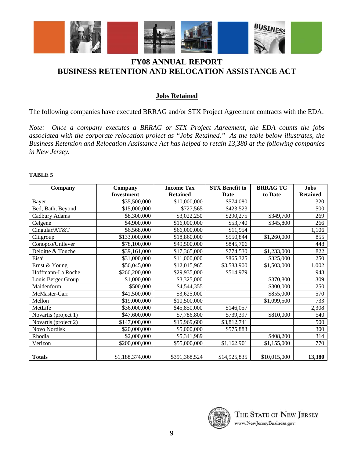

## **Jobs Retained**

The following companies have executed BRRAG and/or STX Project Agreement contracts with the EDA.

*Note: Once a company executes a BRRAG or STX Project Agreement, the EDA counts the jobs associated with the corporate relocation project as "Jobs Retained." As the table below illustrates, the Business Retention and Relocation Assistance Act has helped to retain 13,380 at the following companies in New Jersey.* 

| Company              | Company           | <b>Income Tax</b> | <b>STX Benefit to</b> | <b>BRRAG TC</b> | <b>Jobs</b>     |
|----------------------|-------------------|-------------------|-----------------------|-----------------|-----------------|
|                      | <b>Investment</b> | <b>Retained</b>   | Date                  | to Date         | <b>Retained</b> |
| Bayer                | \$35,500,000      | \$10,000,000      | \$574,080             |                 | 320             |
| Bed, Bath, Beyond    | \$15,000,000      | \$727,565         | \$423,523             |                 | 500             |
| Cadbury Adams        | \$8,300,000       | \$3,022,250       | \$290,275             | \$349,700       | 269             |
| Celgene              | \$4,900,000       | \$16,000,000      | \$53,740              | \$345,800       | 266             |
| Cingular/AT&T        | \$6,568,000       | \$66,000,000      | \$11,954              |                 | 1,106           |
| Citigroup            | \$133,000,000     | \$18,860,000      | \$550,844             | \$1,260,000     | 855             |
| Conopco/Unilever     | \$78,100,000      | \$49,500,000      | \$845,706             |                 | 448             |
| Deloitte & Touche    | \$39,161,000      | \$17,365,000      | \$774,530             | \$1,233,000     | 822             |
| Eisai                | \$31,000,000      | \$11,000,000      | \$865,325             | \$325,000       | 250             |
| Ernst & Young        | \$56,045,000      | \$12,015,965      | \$3,583,900           | \$1,503,000     | 1,002           |
| Hoffmann-La Roche    | \$266,200,000     | \$29,935,000      | \$514,979             |                 | 948             |
| Louis Berger Group   | \$1,000,000       | \$3,325,000       |                       | \$370,800       | 309             |
| Maidenform           | \$500,000         | \$4,544,355       |                       | \$300,000       | 250             |
| McMaster-Carr        | \$41,500,000      | \$3,625,000       |                       | \$855,000       | 570             |
| Mellon               | \$19,000,000      | \$10,500,000      |                       | \$1,099,500     | 733             |
| MetLife              | \$36,000,000      | \$45,850,000      | \$146,057             |                 | 2,308           |
| Novartis (project 1) | \$47,600,000      | \$7,786,800       | \$739,397             | \$810,000       | 540             |
| Novartis (project 2) | \$147,000,000     | \$15,969,600      | \$3,812,741           |                 | 500             |
| Novo Nordisk         | \$20,000,000      | \$5,000,000       | \$575,883             |                 | 300             |
| Rhodia               | \$2,000,000       | \$5,341,989       |                       | \$408,200       | 314             |
| Verizon              | \$200,000,000     | \$55,000,000      | \$1,162,901           | \$1,155,000     | 770             |
|                      |                   |                   |                       |                 |                 |
| <b>Totals</b>        | \$1,188,374,000   | \$391,368,524     | \$14,925,835          | \$10,015,000    | 13,380          |

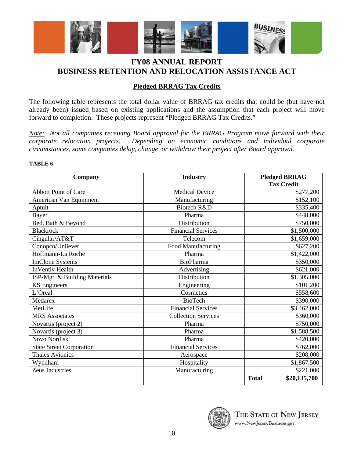

### **Pledged BRRAG Tax Credits**

The following table represents the total dollar value of BRRAG tax credits that could be (but have not already been) issued based on existing applications and the assumption that each project will move forward to completion. These projects represent "Pledged BRRAG Tax Credits."

*Note: Not all companies receiving Board approval for the BRRAG Program move forward with their corporate relocation projects. Depending on economic conditions and individual corporate circumstances, some companies delay, change, or withdraw their project after Board approval.* 

| Company                         | <b>Industry</b>            | <b>Pledged BRRAG</b><br><b>Tax Credit</b> |
|---------------------------------|----------------------------|-------------------------------------------|
| <b>Abbott Point of Care</b>     | <b>Medical Device</b>      | \$277,200                                 |
| American Van Equipment          | Manufacturing              | \$152,100                                 |
| Aptuit                          | Biotech R&D                | \$335,400                                 |
| Bayer                           | Pharma                     | \$448,000                                 |
| Bed, Bath & Beyond              | Distribution               | \$750,000                                 |
| <b>Blackrock</b>                | <b>Financial Services</b>  | \$1,500,000                               |
| Cingular/AT&T                   | Telecom                    | \$1,659,000                               |
| Conopco/Unilever                | Food Manufacturing         | \$627,200                                 |
| Hoffmann-La Roche               | Pharma                     | \$1,422,000                               |
| <b>ImClone Systems</b>          | <b>BioPharma</b>           | \$350,000                                 |
| <b>InVentiv Health</b>          | Advertising                | \$621,000                                 |
| ISP-Mgt. & Building Materials   | Distribution               | \$1,305,000                               |
| <b>KS</b> Engineers             | Engineering                | \$101,200                                 |
| L'Oreal                         | Cosmetics                  | \$558,600                                 |
| Medarex                         | <b>BioTech</b>             | \$390,000                                 |
| MetLife                         | <b>Financial Services</b>  | \$3,462,000                               |
| <b>MRS</b> Associates           | <b>Collection Services</b> | \$360,000                                 |
| Novartis (project 2)            | Pharma                     | \$750,000                                 |
| Novartis (project 3)            | Pharma                     | \$1,588,500                               |
| <b>Novo Nordisk</b>             | Pharma                     | \$420,000                                 |
| <b>State Street Corporation</b> | <b>Financial Services</b>  | \$762,000                                 |
| <b>Thales Avionics</b>          | Aerospace                  | \$208,000                                 |
| Wyndham                         | Hospitality                | \$1,867,500                               |
| Zeus Industries                 | Manufacturing              | \$221,000                                 |
|                                 |                            | <b>Total</b><br>\$20,135,700              |

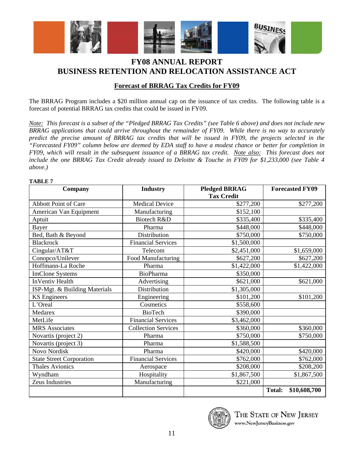

### **Forecast of BRRAG Tax Credits for FY09**

The BRRAG Program includes a \$20 million annual cap on the issuance of tax credits. The following table is a forecast of potential BRRAG tax credits that could be issued in FY09.

*Note: This forecast is a subset of the "Pledged BRRAG Tax Credits" (see Table 6 above) and does not include new BRRAG applications that could arrive throughout the remainder of FY09. While there is no way to accurately predict the precise amount of BRRAG tax credits that will be issued in FY09, the projects selected in the "Forecasted FY09" column below are deemed by EDA staff to have a modest chance or better for completion in FY09, which will result in the subsequent issuance of a BRRAG tax credit. Note also: This forecast does not include the one BRRAG Tax Credit already issued to Deloitte & Touche in FY09 for \$1,233,000 (see Table 4 above.)* 

#### **TABLE 7**

| Company                         | <b>Industry</b>            | <b>Pledged BRRAG</b> | <b>Forecasted FY09</b>        |
|---------------------------------|----------------------------|----------------------|-------------------------------|
|                                 |                            | <b>Tax Credit</b>    |                               |
| <b>Abbott Point of Care</b>     | <b>Medical Device</b>      | \$277,200            | \$277,200                     |
| American Van Equipment          | Manufacturing              | \$152,100            |                               |
| Aptuit                          | Biotech R&D                | \$335,400            | \$335,400                     |
| Bayer                           | Pharma                     | \$448,000            | \$448,000                     |
| Bed, Bath & Beyond              | Distribution               | \$750,000            | \$750,000                     |
| <b>Blackrock</b>                | <b>Financial Services</b>  | \$1,500,000          |                               |
| Cingular/AT&T                   | Telecom                    | \$2,451,000          | \$1,659,000                   |
| Conopco/Unilever                | Food Manufacturing         | \$627,200            | \$627,200                     |
| Hoffmann-La Roche               | Pharma                     | \$1,422,000          | \$1,422,000                   |
| <b>ImClone Systems</b>          | <b>BioPharma</b>           | \$350,000            |                               |
| <b>InVentiv Health</b>          | Advertising                | \$621,000            | \$621,000                     |
| ISP-Mgt. & Building Materials   | Distribution               | \$1,305,000          |                               |
| <b>KS</b> Engineers             | Engineering                | \$101,200            | \$101,200                     |
| L'Oreal                         | Cosmetics                  | \$558,600            |                               |
| Medarex                         | <b>BioTech</b>             | \$390,000            |                               |
| MetLife                         | <b>Financial Services</b>  | \$3,462,000          |                               |
| <b>MRS</b> Associates           | <b>Collection Services</b> | \$360,000            |                               |
| Novartis (project 2)            | Pharma                     | \$750,000            | \$750,000                     |
| Novartis (project 3)            | Pharma                     | \$1,588,500          |                               |
| Novo Nordisk                    | Pharma                     | \$420,000            | \$420,000                     |
| <b>State Street Corporation</b> | <b>Financial Services</b>  | \$762,000            | \$762,000                     |
| <b>Thales Avionics</b>          | Aerospace                  | \$208,000            | \$208,200                     |
| Wyndham                         | Hospitality                | \$1,867,500          | \$1,867,500                   |
| Zeus Industries                 | Manufacturing              | \$221,000            |                               |
|                                 |                            |                      | <b>Total:</b><br>\$10,608,700 |

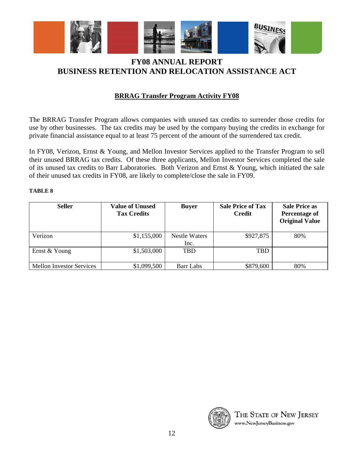

# **BRRAG Transfer Program Activity FY08**

The BRRAG Transfer Program allows companies with unused tax credits to surrender those credits for use by other businesses. The tax credits may be used by the company buying the credits in exchange for private financial assistance equal to at least 75 percent of the amount of the surrendered tax credit.

In FY08, Verizon, Ernst & Young, and Mellon Investor Services applied to the Transfer Program to sell their unused BRRAG tax credits. Of these three applicants, Mellon Investor Services completed the sale of its unused tax credits to Barr Laboratories. Both Verizon and Ernst & Young, which initiated the sale of their unused tax credits in FY08, are likely to complete/close the sale in FY09.

| <b>Seller</b>                   | <b>Value of Unused</b><br><b>Tax Credits</b> | <b>Buyer</b>                 | <b>Sale Price of Tax</b><br><b>Credit</b> | <b>Sale Price as</b><br>Percentage of<br><b>Original Value</b> |
|---------------------------------|----------------------------------------------|------------------------------|-------------------------------------------|----------------------------------------------------------------|
| Verizon                         | \$1,155,000                                  | <b>Nestle Waters</b><br>Inc. | \$927,875                                 | 80%                                                            |
| Ernst & Young                   | \$1,503,000                                  | TBD                          | <b>TBD</b>                                |                                                                |
|                                 |                                              |                              |                                           |                                                                |
| <b>Mellon Investor Services</b> | \$1,099,500                                  | Barr Labs                    | \$879,600                                 | 80%                                                            |

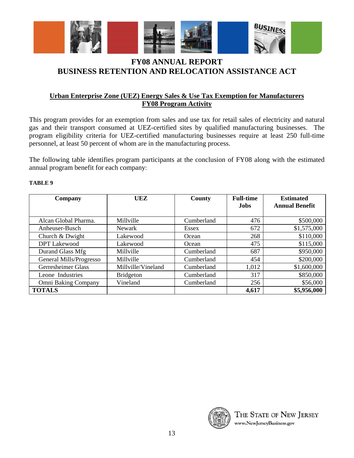

### **Urban Enterprise Zone (UEZ) Energy Sales & Use Tax Exemption for Manufacturers FY08 Program Activity**

This program provides for an exemption from sales and use tax for retail sales of electricity and natural gas and their transport consumed at UEZ-certified sites by qualified manufacturing businesses. The program eligibility criteria for UEZ-certified manufacturing businesses require at least 250 full-time personnel, at least 50 percent of whom are in the manufacturing process.

The following table identifies program participants at the conclusion of FY08 along with the estimated annual program benefit for each company:

| Company                 | UEZ                | County     | <b>Full-time</b><br><b>Jobs</b> | <b>Estimated</b><br><b>Annual Benefit</b> |
|-------------------------|--------------------|------------|---------------------------------|-------------------------------------------|
| Alcan Global Pharma.    | Millville          | Cumberland | 476                             | \$500,000                                 |
| Anheuser-Busch          | <b>Newark</b>      | Essex      | 672                             | \$1,575,000                               |
| Church & Dwight         | Lakewood           | Ocean      | 268                             | \$110,000                                 |
| <b>DPT</b> Lakewood     | Lakewood           | Ocean      | 475                             | \$115,000                                 |
| Durand Glass Mfg        | Millville          | Cumberland | 687                             | \$950,000                                 |
| General Mills/Progresso | Millville          | Cumberland | 454                             | \$200,000                                 |
| Gerresheimer Glass      | Millville/Vineland | Cumberland | 1,012                           | \$1,600,000                               |
| Leone Industries        | <b>Bridgeton</b>   | Cumberland | 317                             | \$850,000                                 |
| Omni Baking Company     | Vineland           | Cumberland | 256                             | \$56,000                                  |
| <b>TOTALS</b>           |                    |            | 4,617                           | \$5,956,000                               |

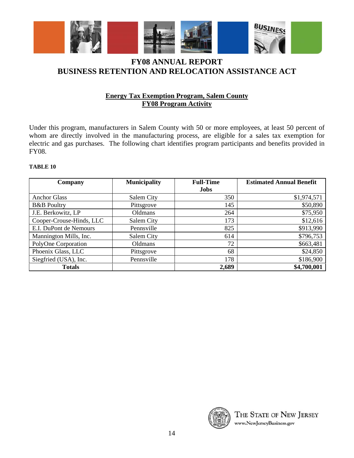

### **Energy Tax Exemption Program, Salem County FY08 Program Activity**

Under this program, manufacturers in Salem County with 50 or more employees, at least 50 percent of whom are directly involved in the manufacturing process, are eligible for a sales tax exemption for electric and gas purchases. The following chart identifies program participants and benefits provided in FY08.

| Company                  | <b>Municipality</b> | <b>Full-Time</b> | <b>Estimated Annual Benefit</b> |  |  |  |
|--------------------------|---------------------|------------------|---------------------------------|--|--|--|
|                          |                     | <b>Jobs</b>      |                                 |  |  |  |
| <b>Anchor Glass</b>      | Salem City          | 350              | \$1,974,571                     |  |  |  |
| <b>B&amp;B</b> Poultry   | Pittsgrove          | 145              | \$50,890                        |  |  |  |
| J.E. Berkowitz, LP       | Oldmans             | 264              | \$75,950                        |  |  |  |
| Cooper-Crouse-Hinds, LLC | Salem City          | 173              | \$12,616                        |  |  |  |
| E.I. DuPont de Nemours   | Pennsville          | 825              | \$913,990                       |  |  |  |
| Mannington Mills, Inc.   | Salem City          | 614              | \$796,753                       |  |  |  |
| PolyOne Corporation      | Oldmans             | 72               | \$663,481                       |  |  |  |
| Phoenix Glass, LLC       | Pittsgrove          | 68               | \$24,850                        |  |  |  |
| Siegfried (USA), Inc.    | Pennsville          | 178              | \$186,900                       |  |  |  |
| <b>Totals</b>            |                     | 2,689            | \$4,700,001                     |  |  |  |

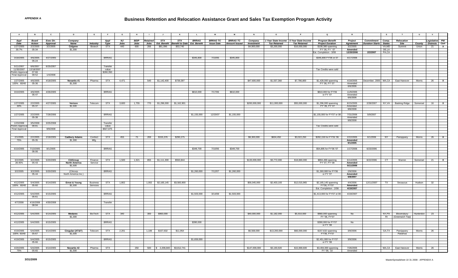| $\overline{A}$                     | <b>B</b>              | $\mathbf{c}$ | D                                | E                  |                   | G     | H           |                 |                                   | к                                   |              | M                 | <b>M</b>             |                   | $\circ$      |                                         | $\mathbf Q$                            | $\mathbb{R}$         |                               | $\mathbf{s}$   | T                                 | $\cup$    | $\mathsf{v}$                 |              |
|------------------------------------|-----------------------|--------------|----------------------------------|--------------------|-------------------|-------|-------------|-----------------|-----------------------------------|-------------------------------------|--------------|-------------------|----------------------|-------------------|--------------|-----------------------------------------|----------------------------------------|----------------------|-------------------------------|----------------|-----------------------------------|-----------|------------------------------|--------------|
| Appl                               | Board                 | Exec Dir.    | Company                          |                    | Appl              | NJ    | <b>BEIP</b> | <b>Retained</b> | STX                               | <b>STX</b>                          | <b>BRRAG</b> | <b>BRRAG TC</b>   | <b>BRRAG TC</b>      | Company           |              | 1 Year State Income 5 Year State Income | <b>Program Benefit</b>                 | Project              | Commitment Comp.              |                | Relocation                        |           | Legislative PW               |              |
| Date                               | Action                | Approval     | Name                             | <b>Industry</b>    | Type              | Jobs  | Jobs        |                 | Jobs Est. Benefit                 | <b>Benefit to Date Est. Benefit</b> |              | <b>Issue Date</b> | <b>Amount Issued</b> | <b>Investment</b> | Tax Retained | <b>Tax Retained</b>                     | <b>Project Duration</b>                | Agreement            | <b>Duration Starts</b> States |                | Site                              |           | <b>County Districts Cert</b> |              |
| 1/27/2005<br>30.7%                 | 2/2/2005<br>05-34     | 3/2/2005     | Celgene<br>\$1,300               | Biotech            | <b>STX</b>        | 440   | 600         | 266             | \$81,096                          | \$53,740                            |              |                   |                      | \$4,900,000       | \$3,200,000  | \$16,000,000                            | \$108,380 spanning<br>FY' 06, FY ' 07  | 3/2/2005<br>Amended  |                               | VA,MD<br>DE,LA | Summit                            | Union     | 21                           | $\mathbf{x}$ |
|                                    |                       |              |                                  |                    |                   |       |             |                 |                                   |                                     |              |                   |                      |                   |              |                                         | Est. Completion - 3/08                 | 12/20/2006           | 2/2/2007                      | PA,CA          |                                   |           |                              |              |
| 3/18/2005                          | 4/6/2005              | 4/27/2005    |                                  |                    | <b>BRRAG</b>      |       |             |                 |                                   |                                     | \$345,800    | 7/10/06           | \$345,800            |                   |              |                                         | \$345,800 FY'06 or 07                  | 4/17/2006            |                               |                |                                   |           |                              |              |
|                                    | 05-24                 |              |                                  |                    |                   |       |             |                 |                                   |                                     |              |                   |                      |                   |              |                                         |                                        |                      |                               |                |                                   |           |                              |              |
|                                    |                       |              |                                  |                    |                   |       |             |                 |                                   |                                     |              |                   |                      |                   |              |                                         |                                        |                      |                               |                |                                   |           |                              |              |
| 5/11/2007<br>11/30/2007 12/18/2007 | 6/6/2007              | 6/25/2007    |                                  |                    | Transfer<br>value |       |             |                 |                                   |                                     |              |                   |                      |                   |              |                                         | Tax Credits were sold                  |                      |                               |                |                                   |           |                              |              |
| relim Approval                     | 07-66                 |              |                                  |                    | \$260,350         |       |             |                 |                                   |                                     |              |                   |                      |                   |              |                                         |                                        |                      |                               |                |                                   |           |                              |              |
| Final Approval                     | 08-52                 | 1/4/2008     |                                  |                    |                   |       |             |                 |                                   |                                     |              |                   |                      |                   |              |                                         |                                        |                      |                               |                |                                   |           |                              |              |
| 1/27/2005                          | 4/6/2005              | 4/18/2005    | Novartis #1                      | Pharma             | <b>STX</b>        | 4,471 |             |                 | 540 \$1,142,400                   | \$739,397                           |              |                   |                      | \$47,600,000      | \$1,557,360  | \$7,786,800                             | \$1,428,000 spanning                   | 4/18/2005            |                               |                | December, 2005 MA,CA East Hanover | Morris    | $26$ X                       |              |
| 100% 60/40                         | 05-36                 |              | \$1,500                          |                    |                   |       |             |                 |                                   |                                     |              |                   |                      |                   |              |                                         | FY' 06, FY' 07                         | Amended              |                               |                |                                   |           |                              |              |
|                                    |                       |              |                                  |                    |                   |       |             |                 |                                   |                                     |              |                   |                      |                   |              |                                         |                                        | 6/6/2006             |                               |                |                                   |           |                              |              |
| 3/10/2005                          | 4/6/2005              | 4/26/2005    |                                  |                    | <b>BRRAG</b>      |       |             |                 |                                   |                                     | \$810,000    | 7/17/06           | \$810,000            |                   |              |                                         | \$810,000 for FY'06                    | 11/9/2005            |                               |                |                                   |           |                              |              |
|                                    | $05 - 47$             |              |                                  |                    |                   |       |             |                 |                                   |                                     |              |                   |                      |                   |              |                                         | or FY '07                              | Amended<br>6/6/2006  |                               |                |                                   |           |                              |              |
|                                    |                       |              |                                  |                    |                   |       |             |                 |                                   |                                     |              |                   |                      |                   |              |                                         |                                        |                      |                               |                |                                   |           |                              |              |
| 1/27/2005<br>30%                   | 2/2/2005<br>05-37     | 4/27/2005    | Verizon<br>\$1,500               | Telecom            | <b>STX</b>        | 3,600 |             |                 | 1,755 770 \$1,296,000 \$1,162,901 |                                     |              |                   |                      | \$200,000,000     | \$11,000,000 | \$55,000,000                            | \$1,296,000 spanning<br>FY' 06, FY' 07 | 8/15/2005<br>Amended | 2/28/2007                     |                | NY, VA Basking Ridge Somerset     |           | $16$ X                       |              |
|                                    |                       |              |                                  |                    |                   |       |             |                 |                                   |                                     |              |                   |                      |                   |              |                                         |                                        | 9/8/2008             |                               |                |                                   |           |                              |              |
|                                    |                       |              |                                  |                    |                   |       |             |                 |                                   |                                     |              |                   |                      |                   |              |                                         |                                        |                      |                               |                |                                   |           |                              |              |
| 1/27/2005                          | 2/2/2005<br>05-38     | 7/28/2006    |                                  |                    | <b>BRRAG</b>      |       |             |                 |                                   |                                     | \$1,155,000  | 12/20/07          | \$1,155,000          |                   |              |                                         | \$1,155,000 for FY'07 or 08            | 7/31/2006<br>Amended | 5/9/2007                      |                |                                   |           |                              |              |
|                                    |                       |              |                                  |                    |                   |       |             |                 |                                   |                                     |              |                   |                      |                   |              |                                         |                                        | 9/8/2008             |                               |                |                                   |           |                              |              |
| 1/23/2008                          | 3/5/2008<br>08-81     | 3/25/2008    |                                  |                    | Transfer<br>value |       |             |                 |                                   |                                     |              |                   |                      |                   |              |                                         | Tax Credits were sold                  |                      |                               |                |                                   |           |                              |              |
| Prelim Approval<br>Final Approval  |                       | 9/9/2008     |                                  |                    | \$927,875         |       |             |                 |                                   |                                     |              |                   |                      |                   |              |                                         |                                        |                      |                               |                |                                   |           |                              |              |
|                                    |                       |              |                                  |                    |                   |       |             |                 |                                   |                                     |              |                   |                      |                   |              |                                         |                                        |                      |                               |                |                                   |           |                              |              |
| 2/1/2005                           | 2/2/2005              | 2/18/2005    | <b>Cadbury Adams</b>             | Confect            | STX               | 455   | 75          | 269             | \$155,376                         | \$290,275                           |              |                   |                      | \$8,300,000       | \$604.450    | \$3,022,250                             | \$282,159 for FY'05 '06                | 2/22/2005            | 6/1/2006                      | <b>NY</b>      | Parsippany                        | Morris    | 26                           | $\mathbf{x}$ |
| 75%                                | 05-35                 |              | \$1,300                          | Mfg.               |                   |       |             |                 |                                   |                                     |              |                   |                      |                   |              |                                         |                                        | Amended              |                               |                |                                   |           |                              |              |
|                                    |                       |              |                                  |                    |                   |       |             |                 |                                   |                                     |              |                   |                      |                   |              |                                         |                                        | 9/1/2005             |                               |                |                                   |           |                              |              |
| 6/10/2005                          | 7/13/2005             | 8/1/2005     |                                  |                    | <b>BRRAG</b>      |       |             |                 |                                   |                                     | \$349,700    | 7/10/06           | \$349,700            |                   |              |                                         | \$54,895 for FY'06 '07                 | 1/17/2006            | 6/23/2006                     |                |                                   |           |                              |              |
|                                    | 06-06                 |              |                                  |                    |                   |       |             |                 |                                   |                                     |              |                   |                      |                   |              |                                         |                                        |                      |                               |                |                                   |           |                              |              |
|                                    |                       |              |                                  |                    |                   |       |             |                 |                                   |                                     |              |                   |                      |                   |              |                                         |                                        |                      |                               |                |                                   |           |                              |              |
| 3/2/2005                           | 3/2/2005<br>05-43     | 5/20/2005    | CitiGroup                        | Finance<br>Service | <b>STX</b>        | 1,500 | 1,921       |                 | 855 \ \$1,111,300                 | \$550,844                           |              |                   |                      | \$133,000,000     | \$3,772,000  | \$18,860,000                            | \$894,498 spannng<br>FY' 07, FY' 08    | 6/14/2005<br>Amended | 8/22/2006                     | CT             | Warren                            | Somerset  | $21$ X                       |              |
| 28.45%                             |                       |              | <b>North America</b><br>\$1,500  |                    |                   |       |             |                 |                                   |                                     |              |                   |                      |                   |              |                                         |                                        | 5/11/2006            |                               |                |                                   |           |                              |              |
|                                    |                       |              |                                  |                    | <b>BRRAG</b>      |       |             |                 |                                   |                                     |              |                   |                      |                   |              |                                         |                                        |                      |                               |                |                                   |           |                              |              |
| 3/2/2005                           | 3/2/2005<br>$05 - 44$ | 5/20/2005    | (Citicorp<br>North America Inc.) |                    |                   |       |             |                 |                                   |                                     | \$1,260,000  | 7/12/07           | \$1,260,000          |                   |              |                                         | \$1,260,000 for FY'06<br>or FY '07     | 2/9/2006<br>Amended  |                               |                |                                   |           |                              |              |
|                                    |                       |              |                                  |                    |                   |       |             |                 |                                   |                                     |              |                   |                      |                   |              |                                         |                                        | 5/8/2007             |                               |                |                                   |           |                              |              |
| 4/12/2005                          | 5/4/2005              | 6/14/2005    | Ernst & Young                    | Business           | <b>STX</b>        | 1,802 |             |                 |                                   | 1,002 \$2,165,145 \$3,583,900       |              |                   |                      | \$56,045,000      | \$2,403,193  | \$12,015,965                            | \$2,165,145 spanning                   | 4/4/2006             | 12/11/2007                    | <b>TX</b>      | Secaucus                          | Hudson    | 32                           |              |
| 100% 60/40                         | 05-60                 |              | \$1,500                          | Services           |                   |       |             |                 |                                   |                                     |              |                   |                      |                   |              |                                         | FY'06, FY'07                           | Amended              |                               |                |                                   |           |                              |              |
|                                    |                       |              |                                  |                    |                   |       |             |                 |                                   |                                     |              |                   |                      |                   |              |                                         | Est. Completion - 2/08                 | 4/19/2007            |                               |                |                                   |           |                              |              |
| 4/12/2005                          | 5/4/2005              | 6/15/2005    |                                  |                    | <b>BRRAG</b>      |       |             |                 |                                   |                                     | \$1,503,000  | 3/14/08           | \$1,503,000          |                   |              |                                         | \$1,413,000 for FY'07 ot 08            | 4/19/2007            |                               |                |                                   |           |                              |              |
|                                    | 05-61                 |              |                                  |                    |                   |       |             |                 |                                   |                                     |              |                   |                      |                   |              |                                         |                                        |                      |                               |                |                                   |           |                              |              |
| 4/7/2008                           | 4/16/2008             | 4/30/2008    |                                  |                    | Transfer          |       |             |                 |                                   |                                     |              |                   |                      |                   |              |                                         |                                        |                      |                               |                |                                   |           |                              |              |
|                                    | 08-94                 |              |                                  |                    |                   |       |             |                 |                                   |                                     |              |                   |                      |                   |              |                                         |                                        |                      |                               |                |                                   |           |                              |              |
|                                    |                       |              |                                  |                    |                   |       |             |                 |                                   |                                     |              |                   |                      |                   |              |                                         |                                        |                      |                               |                |                                   |           |                              |              |
| 4/12/2005                          | 5/4/2005              | 6/14/2005    | Medarex                          | BioTech            | <b>STX</b>        | 340   |             | 300             | \$960,000                         |                                     |              |                   |                      | \$40,000,000      | \$1,182,000  | \$5,910,000                             | \$960,000 spanning                     | No                   |                               | NY.PA          | Bloomsbury                        | Hunterdon | 23                           |              |
|                                    |                       |              | \$1,300                          |                    |                   |       |             |                 |                                   |                                     |              |                   |                      |                   |              |                                         | FY '06, FY'07                          |                      |                               | <b>RI</b>      | (Greenwich Twp)                   |           |                              |              |
| 4/12/2005                          | 5/4/2005              | 6/15/2005    |                                  |                    | <b>BRRAG</b>      |       |             |                 |                                   |                                     | \$390,000    |                   |                      |                   |              |                                         | \$390,000 for FY'07                    | No                   |                               |                |                                   |           |                              |              |
|                                    |                       |              |                                  |                    |                   |       |             |                 |                                   |                                     |              |                   |                      |                   |              |                                         | or FY '08                              |                      |                               |                |                                   |           |                              |              |
| 4/19/2005                          | 5/4/2005              | 6/14/2005    | Cingular (AT&T)                  | Telecom            | <b>STX</b>        | 2,201 |             |                 | 1,106 \$157,632                   | \$11,954                            |              |                   |                      | \$6,568,000       | \$13,200,000 | \$66,000,000                            | \$157,632 spanning                     | 3/9/2006             |                               | GA,TX          | Parsippany                        | Morris    | 26                           |              |
| 100% 60/40                         | 05-67                 |              | \$1,500                          |                    |                   |       |             |                 |                                   |                                     |              |                   |                      |                   |              |                                         | FY'06, FY'07                           |                      |                               |                | Paramus                           |           |                              |              |
| 4/19/2005                          | 5/4/2005              | 6/15/2005    |                                  |                    | <b>BRRAG</b>      |       |             |                 |                                   |                                     | \$1,659,000  |                   |                      |                   |              |                                         | \$2,451,000 for FY'07                  | 3/9/2006             |                               |                |                                   |           |                              |              |
|                                    | 05-66                 |              |                                  |                    |                   |       |             |                 |                                   |                                     |              |                   |                      |                   |              |                                         | or FY '08                              |                      |                               |                |                                   |           |                              |              |
| 4/20/2005                          | 5/4/2005              | 6/14/2005    | Novartis #2                      | Pharma             | <b>STX</b>        |       | 250         |                 |                                   | 500 \$ 2,208,840 \$3,812,741        |              |                   |                      | \$147,000,000     | \$3,193,920  | \$15,969,600                            | \$3,494,000 spanning                   | 7/26/2005            |                               |                | MA,CA East Hanover Morris         |           | 26                           |              |
| 75%                                | $05 - 65$             |              | \$1,500                          |                    |                   |       |             |                 |                                   |                                     |              |                   |                      |                   |              |                                         | FY '09, '10                            | Amended              |                               |                |                                   |           |                              |              |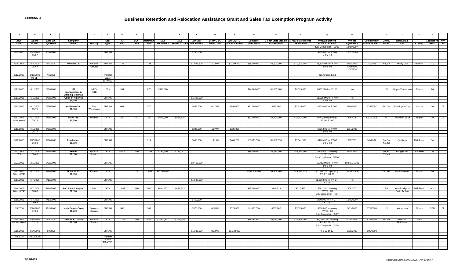| $\overline{A}$     | в.                  | $\mathbf{c}$ | D                            | E                  |                   | G           |             |                 | J                  | к                                              |              | M                 | M                    | N             | $\circ$                                 |                     | $\mathbf Q$                           | $\mathbb{R}$     |                               | $\mathbf{s}$    | T                             | $\cup$                       | $\mathbf{v}$   |              |
|--------------------|---------------------|--------------|------------------------------|--------------------|-------------------|-------------|-------------|-----------------|--------------------|------------------------------------------------|--------------|-------------------|----------------------|---------------|-----------------------------------------|---------------------|---------------------------------------|------------------|-------------------------------|-----------------|-------------------------------|------------------------------|----------------|--------------|
| Appl               | Board               | Exec Dir.    | Company                      |                    | Appl              | <b>NJ</b>   | <b>BEIP</b> | <b>Retained</b> | STX                | STX                                            | <b>BRRAG</b> | <b>BRRAG TC</b>   | <b>BRRAG TC</b>      | Company       | 1 Year State Income 5 Year State Income |                     | <b>Program Benefit</b>                | Project          | <b>Commitment</b>             | Comp.           | Relocation                    |                              | Legislative PW |              |
| Date               | Action              | Approval     | <b>Name</b>                  | <b>Industry</b>    | Type              | <b>Jobs</b> | <b>Jobs</b> |                 |                    | Jobs Est. Benefit Benefit to Date Est. Benefit |              | <b>Issue Date</b> | <b>Amount Issued</b> | Investment    | Tax Retained                            | <b>Tax Retained</b> | <b>Project Duration</b>               | <b>Agreement</b> | <b>Duration Starts</b> States |                 | <b>Site</b>                   | <b>County Districts</b> Cert |                |              |
|                    |                     |              |                              |                    |                   |             |             |                 |                    |                                                |              |                   |                      |               |                                         |                     | Est. Completion - 12/08               | 12/27/2007       |                               |                 |                               |                              |                |              |
|                    |                     |              |                              |                    |                   |             |             |                 |                    |                                                |              |                   |                      |               |                                         |                     |                                       |                  |                               |                 |                               |                              |                |              |
| 9/30/2005          | 10/5/2005           | 11/7/2005    |                              |                    | <b>BRRAG</b>      |             |             |                 |                    |                                                | \$750,000    |                   |                      |               |                                         |                     | \$750,000 for FY'09                   | 10/20/2008       |                               |                 |                               |                              |                |              |
|                    | 06-27               |              |                              |                    |                   |             |             |                 |                    |                                                |              |                   |                      |               |                                         |                     | or FY '10                             |                  |                               |                 |                               |                              |                |              |
|                    |                     |              |                              |                    |                   |             |             |                 |                    |                                                |              |                   |                      |               |                                         |                     |                                       |                  |                               |                 |                               |                              |                |              |
| 4/26/2005          | 5/4/2005            | 5/6/2005     | <b>Mellon LLC</b>            | Finance            | <b>BRRAG</b>      | 738         |             | 733             |                    |                                                | \$1,099,500  | 2/19/08           | \$1,099,500          | \$19,000,000  | \$2,100,000                             | \$10,500,000        | \$1,320,000 for FY'07                 | 9/14/2006        | 1/3/2008                      | NY,PA           | Jersey City                   | Hudson                       | 31, 32         |              |
|                    | 05-64               |              |                              | Service            |                   |             |             |                 |                    |                                                |              |                   |                      |               |                                         |                     | or FY '08                             | Amended          |                               |                 |                               |                              |                |              |
|                    |                     |              |                              |                    |                   |             |             |                 |                    |                                                |              |                   |                      |               |                                         |                     |                                       | 11/30/2007       |                               |                 |                               |                              |                |              |
|                    |                     |              |                              |                    |                   |             |             |                 |                    |                                                |              |                   |                      |               |                                         |                     |                                       |                  |                               |                 |                               |                              |                |              |
| 6/12/2008          | 6/18/2008<br>08-114 | 7/3/2008     |                              |                    | Transfer<br>value |             |             |                 |                    |                                                |              |                   |                      |               |                                         |                     | <b>Tax Credits Sold</b>               |                  |                               |                 |                               |                              |                |              |
|                    |                     |              |                              |                    | \$879,600         |             |             |                 |                    |                                                |              |                   |                      |               |                                         |                     |                                       |                  |                               |                 |                               |                              |                |              |
|                    |                     |              |                              |                    |                   |             |             |                 |                    |                                                |              |                   |                      |               |                                         |                     |                                       |                  |                               |                 |                               |                              |                |              |
|                    |                     |              | <b>ISP</b>                   |                    |                   |             |             |                 |                    |                                                |              |                   |                      |               |                                         |                     |                                       |                  |                               |                 |                               |                              |                |              |
| 5/11/2005 6/1/2005 |                     | 6/28/2005    | <b>Management &amp;</b>      | MFG/<br>R&D        | <b>STX</b>        | 991         |             | 870             | \$336,000          |                                                |              |                   |                      | \$14,000,000  | \$1,305,000                             | \$6,525,000         | \$336,000 for FY' 06                  | No               |                               |                 | NY Wayne/Parsippany           | Morris                       | 26             |              |
|                    |                     |              | <b>Building Materials</b>    |                    |                   |             |             |                 |                    |                                                |              |                   |                      |               |                                         |                     |                                       |                  |                               |                 |                               |                              |                |              |
| 5/11/2005          | 6/1/2005            | 6/28/2005    | Corp. of America             |                    | <b>BRRAG</b>      |             |             |                 |                    |                                                | \$1,305,000  |                   |                      |               |                                         |                     | \$1,305,000 for FY'07                 | No               |                               |                 |                               |                              |                |              |
|                    |                     |              | \$1,500                      |                    |                   |             |             |                 |                    |                                                |              |                   |                      |               |                                         |                     | or FY '08                             |                  |                               |                 |                               |                              |                |              |
|                    | 6/1/2005            | 6/28/2005    | <b>McMaster-Carr</b>         | Dist.              | <b>BRRAG</b>      | 667         |             | 570             |                    |                                                | \$855,000    | 4/27/07           | \$855,000            | \$41,500,000  | \$725,000                               | \$3,625,000         | \$855,000 for FY'07                   | 9/14/2006        | 2/14/2007                     |                 |                               |                              |                |              |
| 5/12/2005          | $05 - 75$           |              | \$1,500                      | Warehouse          |                   |             |             |                 |                    |                                                |              |                   |                      |               |                                         |                     |                                       |                  |                               |                 | PA, OH Washington Twp. Mercer |                              | 30             | $\mathbf{x}$ |
|                    |                     |              |                              |                    |                   |             |             |                 |                    |                                                |              |                   |                      |               |                                         |                     |                                       |                  |                               |                 |                               |                              |                |              |
|                    |                     |              |                              |                    |                   |             |             |                 |                    |                                                |              |                   |                      |               |                                         |                     |                                       |                  |                               |                 |                               |                              |                |              |
| 5/13/2005          | 6/1/2005            | 6/28/2005    | Eisai, Inc.                  | Pharma             | <b>STX</b>        | 250         | 50          | 250             | \$677,280          | \$865,325                                      |              |                   |                      | \$31,000,000  | \$2,200,000                             | \$11,000,000        | \$677,280 spanning<br>FY'06, FY'07    | 3/9/2006         | 12/22/2006                    | NC              | Woodcliff Lake                | Bergen                       | 39             | $\mathbf{x}$ |
| 80% 60/40          | 05-76               |              | \$1,300                      |                    |                   |             |             |                 |                    |                                                |              |                   |                      |               |                                         |                     |                                       |                  |                               |                 |                               |                              |                |              |
|                    |                     |              |                              |                    |                   |             |             |                 |                    |                                                |              |                   |                      |               |                                         |                     |                                       |                  |                               |                 |                               |                              |                |              |
| 5/13/2005          | 6/1/2005            | 6/28/2005    |                              |                    | <b>BRRAG</b>      |             |             |                 |                    |                                                | \$325,500    | 4/27/07           | \$325,000            |               |                                         |                     | \$325,500 for FY'07                   | 1/24/2007        |                               |                 |                               |                              |                |              |
|                    | $05 - 77$           |              |                              |                    |                   |             |             |                 |                    |                                                |              |                   |                      |               |                                         |                     | or FY '08                             |                  |                               |                 |                               |                              |                |              |
|                    |                     |              |                              |                    |                   |             |             |                 |                    |                                                |              |                   |                      |               |                                         |                     |                                       |                  |                               |                 |                               |                              |                |              |
| 6/10/2005          | 7/13/2005           | 7/27/2005    | Rhodia Inc.                  |                    | <b>BRRAG</b>      |             |             | 314             |                    |                                                | \$408,200    | 10/1/07           | \$408,200            | \$2,000,000   | \$1,068,398                             | \$5,341,989         | \$478,400 for FY'07                   | 8/8/2007         | 9/6/2007                      | PA.GA           | Cranbury                      | Middlesex                    | 14             |              |
|                    | 06-08               |              | \$1,300                      |                    |                   |             |             |                 |                    |                                                |              |                   |                      |               |                                         |                     | or FY '08                             |                  |                               | NC,TX           |                               |                              |                |              |
|                    |                     |              |                              |                    |                   |             |             |                 |                    |                                                |              |                   |                      |               |                                         |                     |                                       |                  |                               |                 |                               |                              |                |              |
|                    |                     |              |                              |                    |                   |             |             |                 |                    |                                                |              |                   |                      |               |                                         |                     |                                       |                  |                               |                 |                               |                              |                |              |
| 1/23/2006<br>85%   | 2/1/2006<br>06-48   | 2/23/2006    | Metlife<br>\$1,500           | Finance<br>Service | <b>STX</b>        | 4,015       | 400         |                 | 2,308 \$734,400    | \$146,057                                      |              |                   |                      | \$36,000,000  | \$9,170,000                             | \$45,850,000        | \$734,400 spanning<br>FY '06, FY'07   | 5/24/2006        |                               | NY,FL<br>CT, MA | Bridgewater                   | Somerset                     | 16             |              |
|                    |                     |              |                              |                    |                   |             |             |                 |                    |                                                |              |                   |                      |               |                                         |                     | Est. Completion - 6/2007              |                  |                               |                 |                               |                              |                |              |
|                    |                     |              |                              |                    |                   |             |             |                 |                    |                                                |              |                   |                      |               |                                         |                     |                                       |                  |                               |                 |                               |                              |                |              |
| 1/23/2006 2/1/2006 |                     | 2/23/2006    |                              |                    | <b>BRRAG</b>      |             |             |                 |                    |                                                | \$3,462,000  |                   |                      |               |                                         |                     | \$3,462,000 for FY'07   Draft11/15/06 |                  |                               |                 |                               |                              |                |              |
|                    |                     |              |                              |                    |                   |             |             |                 |                    |                                                |              |                   |                      |               |                                         |                     | or FY '08                             |                  |                               |                 |                               |                              |                |              |
| 5/11/2006          | 6/7/2006            | 7/12/2006    | Novartis #3                  | Pharma             | <b>STX</b>        |             | 72          |                 | 1,059 \$11,060,671 |                                                |              |                   |                      | \$538,300,000 | \$4,908,465                             | \$24,542,325        | \$11,060,671 spanning                 | Draft10/5/06     |                               |                 | CA, MA East Hanover           | Morris                       | 26             |              |
| 66% 60/40          |                     |              | \$1,500                      |                    |                   |             |             |                 |                    |                                                |              |                   |                      |               |                                         |                     | FY '07, '08,'09                       |                  |                               |                 |                               |                              |                |              |
|                    |                     |              |                              |                    |                   |             |             |                 |                    |                                                |              |                   |                      |               |                                         |                     |                                       |                  |                               |                 |                               |                              |                |              |
| 5/11/2006          | 6/7/2006            | 7/12/2006    |                              |                    | <b>BRRAG</b>      |             |             |                 |                    |                                                | \$1,588,500  |                   |                      |               |                                         |                     | \$1,588,500 for FY '07,               | No               |                               |                 |                               |                              |                |              |
|                    |                     |              |                              |                    |                   |             |             |                 |                    |                                                |              |                   |                      |               |                                         |                     | FY '08                                |                  |                               |                 |                               |                              |                |              |
| 5/16/2006          | 6/7/2006            | 7/14/2006    | <b>Bed Bath &amp; Beyond</b> | Dist.              | STX               | 2,688       | 160         | 500             | \$691,200          | \$423,523                                      |              |                   |                      | \$15,000,000  | \$145,513                               | \$727,565           | \$691,200 spanning                    | 8/4/2007         |                               | PA              | Woodbridge or                 | Middlesex                    | 19, 13         |              |
| 76% 60/40          | 06-63               |              | \$1,500                      |                    |                   |             |             |                 |                    |                                                |              |                   |                      |               |                                         |                     | FY '07, '08                           |                  |                               |                 | Perth Amboy                   |                              |                |              |
|                    |                     |              |                              |                    |                   |             |             |                 |                    |                                                |              |                   |                      |               |                                         |                     | Est. Completion - 4/07                |                  |                               |                 |                               |                              |                |              |
| 5/16/2006          | 6/7/2006            | 7/17/2006    |                              |                    | <b>BRRAG</b>      |             |             |                 |                    |                                                | \$750,000    |                   |                      |               |                                         |                     | \$750,000 for FY '07,                 | 11/30/2007       |                               |                 |                               |                              |                |              |
|                    | 06-64               |              |                              |                    |                   |             |             |                 |                    |                                                |              |                   |                      |               |                                         |                     | FY '08                                |                  |                               |                 |                               |                              |                |              |
|                    |                     |              |                              |                    |                   |             |             |                 |                    |                                                |              |                   |                      |               |                                         |                     |                                       |                  |                               |                 |                               |                              |                |              |
| 6/9/2006           | 9/14/2006           | 10/3/2006    | <b>Louis Berger Group</b>    | Engineer           | <b>BRRAG</b>      | 309         |             | 309             |                    |                                                | \$370,800    | 6/30/08           | \$370,800            | \$1,000,000   | \$665,000                               | \$3,325,000         | \$370,800 spanning                    | 3/31/2008        | 6/27/2008                     | NY 1            | Morristown                    | Morris                       | <b>TBD</b>     | $\mathbf{x}$ |
|                    | 07-20               |              | \$1,200                      | Service            |                   |             |             |                 |                    |                                                |              |                   |                      |               |                                         |                     | FY '07. '08                           |                  |                               |                 |                               |                              |                |              |
|                    |                     |              |                              |                    |                   |             |             |                 |                    |                                                |              |                   |                      |               |                                         |                     | Est. Completion - 9/07                |                  |                               |                 |                               |                              |                |              |
| 7/10/2006          | 7/24/2006           | 8/9/2006     | <b>Deloitte &amp; Touche</b> | Finance            | STX               | 1,229       | 280         | 822             | \$1,010,331        | \$774,530                                      |              |                   |                      | \$39,161,000  | \$3,473,000                             | \$17,365,000        | \$1,010,331 spanning                  | 11/8/2007        | 2/15/2008                     | PA, NY          | Morris or                     | <b>TBD</b>                   |                |              |
| 83.5% 60/40        | $07 - 15$           |              | \$1,500                      | Service            |                   |             |             |                 |                    |                                                |              |                   |                      |               |                                         |                     | FY '07, 08, 09                        |                  |                               |                 | Middlesex                     |                              |                |              |
|                    |                     |              |                              |                    |                   |             |             |                 |                    |                                                |              |                   |                      |               |                                         |                     | Est. Completion - 7/08                |                  |                               |                 |                               |                              |                |              |
|                    |                     | 8/9/2006     |                              |                    | <b>BRRAG</b>      |             |             |                 |                    |                                                | \$1,233,000  | 9/22/08           | \$1,233,000          |               |                                         |                     | FY 09 or 10                           | 8/29/2008        | 1/22/2008                     |                 |                               |                              |                |              |
| 7/10/2006          | 7/24/2006           |              |                              |                    |                   |             |             |                 |                    |                                                |              |                   |                      |               |                                         |                     |                                       |                  |                               |                 |                               |                              |                |              |
| 9/3/2008           | 10/15/2008          |              |                              |                    | Transfer          |             |             |                 |                    |                                                |              |                   |                      |               |                                         |                     |                                       |                  |                               |                 |                               |                              |                |              |
|                    |                     |              |                              |                    | Value             |             |             |                 |                    |                                                |              |                   |                      |               |                                         |                     |                                       |                  |                               |                 |                               |                              |                |              |
|                    |                     |              |                              |                    | \$924,750         |             |             |                 |                    |                                                |              |                   |                      |               |                                         |                     |                                       |                  |                               |                 |                               |                              |                |              |
|                    |                     |              |                              |                    |                   |             |             |                 |                    |                                                |              |                   |                      |               |                                         |                     |                                       |                  |                               |                 |                               |                              |                |              |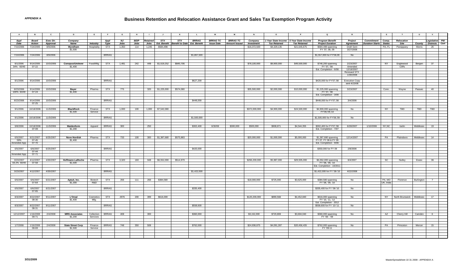| <b>A</b>     | <b>B</b>               | $\mathbf{c}$        | D                        | E.                | F.           | G           | H           | $\mathbf{L}$    | $\mathsf{J}$        | K                                   |              | M                 | M                    | N                 | $\circ$                                 | P                   | $\mathbf Q$                                    | R                               |                        | $\mathbf{s}$  | T                           | $\cup$     | $\mathsf{v}$                 |  |
|--------------|------------------------|---------------------|--------------------------|-------------------|--------------|-------------|-------------|-----------------|---------------------|-------------------------------------|--------------|-------------------|----------------------|-------------------|-----------------------------------------|---------------------|------------------------------------------------|---------------------------------|------------------------|---------------|-----------------------------|------------|------------------------------|--|
| Appl         | <b>Board</b>           | Exec Dir.           | Company                  |                   | Appl         | <b>NJ</b>   | <b>BEIP</b> | <b>Retained</b> | STX                 | <b>STX</b>                          | <b>BRRAG</b> | <b>BRRAG TC</b>   | <b>BRRAG TC</b>      | Company           | 1 Year State Income 5 Year State Income |                     | <b>Program Benefit</b>                         | Project                         | Commitment Comp.       |               | Relocation                  |            | egislative PW                |  |
| Date         | <b>Action</b>          | Approval            | Name                     | Industry          | Type         | <b>Jobs</b> | <b>Jobs</b> |                 | Jobs Est. Benefit   | <b>Benefit to Date Est. Benefit</b> |              | <b>Issue Date</b> | <b>Amount Issued</b> | <b>Investment</b> | <b>Tax Retained</b>                     | <b>Tax Retained</b> | <b>Project Duration</b>                        | <b>Agreement</b>                | <b>Duration Starts</b> | <b>States</b> | <b>Site</b>                 |            | <b>County Districts</b> Cert |  |
| 7/10/2006    | 7/24/2006              | 8/9/2006            | Wyndham                  | Hospitality       | <b>STX</b>   | 1,350       | 114         | 1,245           | \$584,498           |                                     |              |                   |                      | \$16,372,500      | \$4,329,135                             | \$21,645,675        | \$584,498 spanning                             | <b>Draft Sent</b>               |                        | PA, FL        | Parsippany                  | Morris     | 26                           |  |
|              |                        |                     | \$1,500                  |                   |              |             |             |                 |                     |                                     |              |                   |                      |                   |                                         |                     | FY '07, 08, 09                                 | 3/27/2008                       |                        |               |                             |            |                              |  |
| 7/10/2006    | 7/24/2006              | 8/9/2006            |                          |                   | <b>BRRAG</b> |             |             |                 |                     |                                     | \$1,867,500  |                   |                      |                   |                                         |                     | \$1,557,000 for FY'08,09                       | No                              |                        |               |                             |            |                              |  |
|              |                        |                     |                          |                   |              |             |             |                 |                     |                                     |              |                   |                      |                   |                                         |                     |                                                |                                 |                        |               |                             |            |                              |  |
| 8/1/2006     | 9/14/2006              | 10/3/2006           | <b>Conopco/Unilever</b>  | Food/Mfg.         | STX          | 1,481       | 242         |                 | 448 \$1,519,252     | \$845,706                           |              |                   |                      | \$78,100,000      | \$9,900,000                             | \$49,500,000        |                                                | 2/23/2007                       |                        | NY            |                             |            | 37                           |  |
| 34% 60/40    | $07 - 22$              |                     | \$1,400                  |                   |              |             |             |                 |                     |                                     |              |                   |                      |                   |                                         |                     | \$746,200 spanning<br>FY '07, '08              | Amended                         |                        |               | Englewood<br>Cliffs         | Bergen     |                              |  |
|              |                        |                     |                          |                   |              |             |             |                 |                     |                                     |              |                   |                      |                   |                                         |                     | Est. Completion - 6/08                         | 12/18/2007                      |                        |               |                             |            |                              |  |
|              |                        |                     |                          |                   |              |             |             |                 |                     |                                     |              |                   |                      |                   |                                         |                     |                                                | <b>Renewed STX</b><br>1/30/2008 |                        |               |                             |            |                              |  |
|              |                        |                     |                          |                   |              |             |             |                 |                     |                                     |              |                   |                      |                   |                                         |                     |                                                |                                 |                        |               |                             |            |                              |  |
| 8/1/2006     | 9/14/2006              | 10/3/2006           |                          |                   | <b>BRRAG</b> |             |             |                 |                     |                                     | \$627,200    |                   |                      |                   |                                         |                     | \$420,000 for FY'07,'08 Execution Copy         |                                 |                        |               |                             |            |                              |  |
|              |                        |                     |                          |                   |              |             |             |                 |                     |                                     |              |                   |                      |                   |                                         |                     |                                                | sent 4/23/08                    |                        |               |                             |            |                              |  |
| 8/23/2006    | 9/14/2006              | 10/3/2006           | <b>Baver</b>             | Pharma            | <b>STX</b>   | 775         |             | 320             | \$1,225,000         | \$574,080                           |              |                   |                      | \$35,500,000      | \$2,000,000                             | \$10,000,000        | \$1,225,000 spanning                           | 3/23/2007                       |                        | Conn.         | Wavne                       | Passaic    | 40                           |  |
| 100% 60/40   | $07 - 24$              |                     | \$1,400                  |                   |              |             |             |                 |                     |                                     |              |                   |                      |                   |                                         |                     | FY '07, '08                                    |                                 |                        |               |                             |            |                              |  |
|              |                        |                     |                          |                   |              |             |             |                 |                     |                                     |              |                   |                      |                   |                                         |                     | Est. Completion - 3/08                         |                                 |                        |               |                             |            |                              |  |
| 8/23/2006    |                        | 9/14/2006 10/3/2006 |                          |                   | <b>BRRAG</b> |             |             |                 |                     |                                     | \$448,000    |                   |                      |                   |                                         |                     | \$448,000 for FY'07,'08                        | 3/4/2008                        |                        |               |                             |            |                              |  |
|              | $07 - 25$              |                     |                          |                   |              |             |             |                 |                     |                                     |              |                   |                      |                   |                                         |                     |                                                |                                 |                        |               |                             |            |                              |  |
| 9/1/2006     | 10/18/2006             | 11/3/2006           | <b>BlackRock</b>         | Finance           | STX          | 1,000       | 100         |                 | $1,000$ \$7,542,080 |                                     |              |                   |                      | \$372,000,000     | \$4,900,000                             | \$24,500,000        |                                                | No                              |                        | NY.           | TBD                         | <b>TBD</b> | TBD                          |  |
|              |                        |                     | \$1,500                  | Service           |              |             |             |                 |                     |                                     |              |                   |                      |                   |                                         |                     | \$4,900,000 spanning<br>FY'08,'09,'10          |                                 |                        |               |                             |            |                              |  |
|              |                        |                     |                          |                   |              |             |             |                 |                     |                                     |              |                   |                      |                   |                                         |                     |                                                |                                 |                        |               |                             |            |                              |  |
| 9/1/2006     | 10/18/2006             | 11/3/2006           |                          |                   | <b>BRRAG</b> |             |             |                 |                     |                                     | \$1,500,000  |                   |                      |                   |                                         |                     | \$1,500,000 for FY'08,'09                      | No                              |                        |               |                             |            |                              |  |
|              |                        |                     |                          |                   |              |             |             |                 |                     |                                     |              |                   |                      |                   |                                         |                     |                                                |                                 |                        |               |                             |            |                              |  |
| 9/8/2006     | 10/18/2006             | 11/3/2006           | Maidenform               | Apparel           | <b>BRRAG</b> | 300         |             | 250             |                     |                                     | \$302,400    | 6/30/08           | \$300,000            | \$500,000         | \$908,871                               | \$4,544,355         | \$302,400 for FY'07,'08                        | 6/28/2007                       | 1/10/2008              | NY, NC        | Iselin                      | Middlesex  | 19                           |  |
|              | 07-09                  |                     | \$1,200                  |                   |              |             |             |                 |                     |                                     |              |                   |                      |                   |                                         |                     | Est. Completion - 7/07                         |                                 |                        |               |                             |            |                              |  |
|              |                        |                     |                          |                   |              |             |             |                 |                     |                                     |              |                   |                      |                   |                                         |                     |                                                |                                 |                        |               |                             |            |                              |  |
| 6/5/2007     | 6/21/2007              | 6/25/2007           | <b>Novo Nordisk</b>      | Pharma            | STX          | 733         | 100         | 300             | \$1,387,680         | \$575,883                           |              |                   |                      | \$20,000,000      | \$1,000,000                             | \$5,000,000         | \$1,387,680 spanning                           | 12/14/2007                      |                        | PA            | Plainsboro                  | Middlesex  | 14                           |  |
| 59%          | $07 - 45$<br>$07 - 70$ |                     | \$1,400                  |                   |              |             |             |                 |                     |                                     |              |                   |                      |                   |                                         |                     | FY 07, FY 08 & FY 09<br>Est. Completion - 9/08 |                                 |                        |               |                             |            |                              |  |
| Amended App. |                        |                     |                          |                   |              |             |             |                 |                     |                                     |              |                   |                      |                   |                                         |                     |                                                |                                 |                        |               |                             |            |                              |  |
| 6/5/2007     | 6/6/2007               | 6/25/2007           |                          |                   | <b>BRRAG</b> |             |             |                 |                     |                                     | \$420,000    |                   |                      |                   |                                         |                     | \$350,000 for FY 09                            | 2/8/2008                        |                        |               |                             |            |                              |  |
|              | $07 - 44$              |                     |                          |                   |              |             |             |                 |                     |                                     |              |                   |                      |                   |                                         |                     |                                                |                                 |                        |               |                             |            |                              |  |
| Amended App. | $07 - 71$              |                     |                          |                   |              |             |             |                 |                     |                                     |              |                   |                      |                   |                                         |                     |                                                |                                 |                        |               |                             |            |                              |  |
| 3/23/2007    | 4/12/2007              | 4/30/2007           | Hoffmann-LaRoche         | Pharma            | STX          | 3,320       | 160         | 948             | \$6,552,000         | \$514,979                           |              |                   |                      | \$266,200,000     | \$5,987,000                             | \$29,935,000        | \$6,552,000 spanning                           | 8/4/2007                        |                        | SC            | Nutley                      | Essex      | 36                           |  |
| 59.2% 60/40  | $07 - 58$              |                     | \$1,500                  |                   |              |             |             |                 |                     |                                     |              |                   |                      |                   |                                         |                     | FY '08, '09, '10                               |                                 |                        |               |                             |            |                              |  |
|              |                        |                     |                          |                   |              |             |             |                 |                     |                                     |              |                   |                      |                   |                                         |                     | Est. Completion - 10/2011                      |                                 |                        |               |                             |            |                              |  |
| 3/23/2007    | 4/12/2007              | 4/30/2007           |                          |                   | <b>BRRAG</b> |             |             |                 |                     |                                     | \$1,422,000  |                   |                      |                   |                                         |                     | \$1,422,000 for FY '08-'10                     | 4/22/2008                       |                        |               |                             |            |                              |  |
|              |                        |                     |                          |                   |              |             |             |                 |                     |                                     |              |                   |                      |                   |                                         |                     |                                                |                                 |                        |               |                             |            |                              |  |
| 6/5/2007     | 6/6/2007               | 6/21/2007           | Aptuit, Inc.             | Biotech           | <b>STX</b>   | 266         | 111         |                 | 266 \$384,580       |                                     |              |                   |                      | \$18,000,000      | \$725,000                               | \$3,625,000         | \$384,580 spanning                             | No                              |                        | PA, MO        | Florence                    | Burlington | $7\overline{ }$              |  |
|              | 07-64                  |                     | \$1,300                  | R&D               |              |             |             |                 |                     |                                     |              |                   |                      |                   |                                         |                     | FY '08, '09, '10                               |                                 |                        | UK, India     |                             |            |                              |  |
| 6/5/2007     | 6/6/2007               | 6/21/2007           |                          |                   | <b>BRRAG</b> |             |             |                 |                     |                                     | \$335,400    |                   |                      |                   |                                         |                     | \$335,400 for FY '08-'10                       | No                              |                        |               |                             |            |                              |  |
|              | $07 - 65$              |                     |                          |                   |              |             |             |                 |                     |                                     |              |                   |                      |                   |                                         |                     |                                                |                                 |                        |               |                             |            |                              |  |
|              |                        |                     |                          |                   |              |             |             |                 |                     |                                     |              |                   |                      |                   |                                         |                     |                                                |                                 |                        |               |                             |            |                              |  |
| 8/3/2007     | 8/22/2007<br>08-30     | 9/11/2007           | L'Oreal<br>\$1,400       | Cosmetics<br>Mfg. | <b>STX</b>   | 2976        | 200         | 399             | \$616,000           |                                     |              |                   |                      | \$120,200,000     | \$890,568                               | \$4,452,840         | \$616,000 spanning<br>FY '10, '11, '12         | No                              |                        | NY 1          | North Brunswick   Middlesex |            | 17                           |  |
|              |                        |                     |                          |                   |              |             |             |                 |                     |                                     |              |                   |                      |                   |                                         |                     | Est. Completion - 2012                         |                                 |                        |               |                             |            |                              |  |
| 8/3/2007     | 8/22/2007              | 9/11/2007           |                          |                   | <b>BRRAG</b> |             |             |                 |                     |                                     | \$558,600    |                   |                      |                   |                                         |                     | \$558,600 for FY '10-'11                       | No                              |                        |               |                             |            |                              |  |
|              | 08-31                  |                     |                          |                   |              |             |             |                 |                     |                                     |              |                   |                      |                   |                                         |                     |                                                |                                 |                        |               |                             |            |                              |  |
| 12/12/2007   | 1/16/2008              | 2/4/2008            | <b>MRS Associates</b>    | Collection        | <b>BRRAG</b> | 408         |             | 300             |                     |                                     | \$360,000    |                   |                      | \$3,152,000       | \$720,808                               | \$3,604,040         | \$360,000 spanning                             | <b>No</b>                       |                        | AZ            | Cherry Hill                 | Camden     | 6                            |  |
|              | 08-71                  |                     | \$1,200                  | Services          |              |             |             |                 |                     |                                     |              |                   |                      |                   |                                         |                     | FY '08 - '09                                   |                                 |                        |               |                             |            |                              |  |
|              |                        |                     |                          |                   |              |             |             |                 |                     |                                     |              |                   |                      |                   |                                         |                     |                                                |                                 |                        |               |                             |            |                              |  |
| 1/7/2008     | 1/16/2008              | 2/4/2008            | <b>State Street Corp</b> | Finance           | <b>BRRAG</b> | 748         | 350         | 508             |                     |                                     | \$762,000    |                   |                      | \$24,936,875      | \$4,091,287                             | \$20,456,435        | \$762,000 spanning                             | No                              |                        | PA            | Princeton                   | Mercer     | 15                           |  |
|              | 08-69                  |                     | \$1,500                  | Service           |              |             |             |                 |                     |                                     |              |                   |                      |                   |                                         |                     | FY '09-11                                      |                                 |                        |               |                             |            |                              |  |
|              |                        |                     |                          |                   |              |             |             |                 |                     |                                     |              |                   |                      |                   |                                         |                     |                                                |                                 |                        |               |                             |            |                              |  |
|              |                        |                     |                          |                   |              |             |             |                 |                     |                                     |              |                   |                      |                   |                                         |                     |                                                |                                 |                        |               |                             |            |                              |  |
|              |                        |                     |                          |                   |              |             |             |                 |                     |                                     |              |                   |                      |                   |                                         |                     |                                                |                                 |                        |               |                             |            |                              |  |